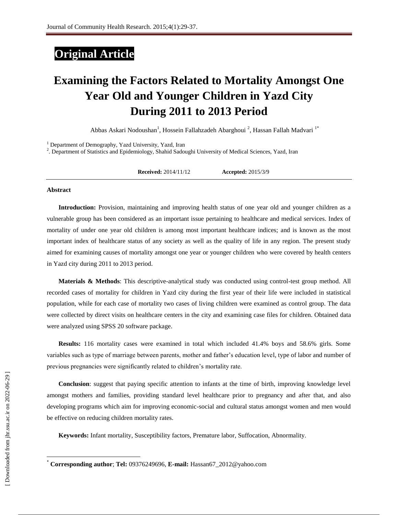# **Original Article**

# **Examining the Factors Related to Mortality Amongst One Year Old and Younger Children in Yazd City During 2011 to 2013 Period**

Abbas [Askari Nodoushan](http://jhr.ssu.ac.ir/search.php?slc_lang=en&sid=1&auth=Askari+Nodoushan)<sup>1</sup>, Hossein Fallahzadeh Abarghoui<sup>2</sup>, Hassan Fallah Madvari<sup>1\*</sup>

<sup>1</sup> Department of Demography, Yazd University, Yazd, Iran

2 . Department of Statistics and Epidemiology, Shahid Sadoughi University of Medical Sciences, Yazd, Iran

**Received:** 2014/11/12 **Accepted:** 2015/3/9

#### **Abstract**

**Introduction:** Provision, maintaining and improving health status of one year old and younger children as a vulnerable group has been considered as an important issue pertaining to healthcare and medical services. Index of mortality of under one year old children is among most important healthcare indices; and is known as the most important index of healthcare status of any society as well as the quality of life in any region. The present study aimed for examining causes of mortality amongst one year or younger children who were covered by health centers in Yazd city during 2011 to 2013 period.

**Materials & Methods**: This descriptive-analytical study was conducted using control-test group method. All recorded cases of mortality for children in Yazd city during the first year of their life were included in statistical population, while for each case of mortality two cases of living children were examined as control group. The data were collected by direct visits on healthcare centers in the city and examining case files for children. Obtained data were analyzed using SPSS 20 software package.

**Results:** 116 mortality cases were examined in total which included 41.4% boys and 58.6% girls. Some variables such as type of marriage between parents, mother and father's education level, type of labor and number of previous pregnancies were significantly related to children's mortality rate.

**Conclusion**: suggest that paying specific attention to infants at the time of birth, improving knowledge level amongst mothers and families, providing standard level healthcare prior to pregnancy and after that, and also developing programs which aim for improving economic-social and cultural status amongst women and men would be effective on reducing children mortality rates.

**Keywords:** Infant mortality, Susceptibility factors, Premature labor, Suffocation, Abnormality.

 $\overline{\phantom{a}}$ 

<sup>\*</sup> **Corresponding author**; **Tel:** 09376249696, **E-mail:** [Hassan67\\_2012@yahoo.com](mailto:Hassan67_2012@yahoo.com)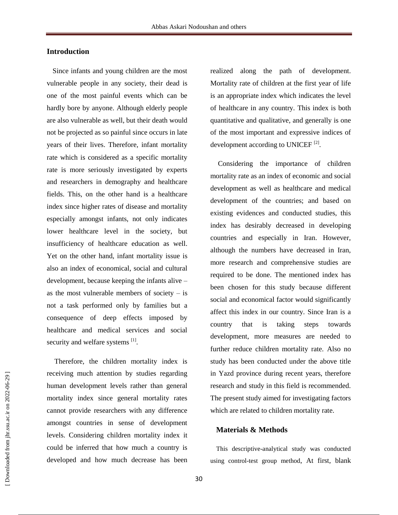# **Introduction**

Since infants and young children are the most vulnerable people in any society, their dead is one of the most painful events which can be hardly bore by anyone. Although elderly people are also vulnerable as well, but their death would not be projected as so painful since occurs in late years of their lives. Therefore, infant mortality rate which is considered as a specific mortality rate is more seriously investigated by experts and researchers in demography and healthcare fields. This, on the other hand is a healthcare index since higher rates of disease and mortality especially amongst infants, not only indicates lower healthcare level in the society, but insufficiency of healthcare education as well. Yet on the other hand, infant mortality issue is also an index of economical, social and cultural development, because keeping the infants alive – as the most vulnerable members of society  $-$  is not a task performed only by families but a consequence of deep effects imposed by healthcare and medical services and social security and welfare systems [1].

Therefore, the children mortality index is receiving much attention by studies regarding human development levels rather than general mortality index since general mortality rates cannot provide researchers with any difference amongst countries in sense of development levels. Considering children mortality index it could be inferred that how much a country is developed and how much decrease has been realized along the path of development. Mortality rate of children at the first year of life is an appropriate index which indicates the level of healthcare in any country. This index is both quantitative and qualitative, and generally is one of the most important and expressive indices of development according to UNICEF<sup>[2]</sup>.

Considering the importance of children mortality rate as an index of economic and social development as well as healthcare and medical development of the countries; and based on existing evidences and conducted studies, this index has desirably decreased in developing countries and especially in Iran. However, although the numbers have decreased in Iran, more research and comprehensive studies are required to be done. The mentioned index has been chosen for this study because different social and economical factor would significantly affect this index in our country. Since Iran is a country that is taking steps towards development, more measures are needed to further reduce children mortality rate. Also no study has been conducted under the above title in Yazd province during recent years, therefore research and study in this field is recommended. The present study aimed for investigating factors which are related to children mortality rate.

### **Materials & Methods**

This descriptive-analytical study was conducted using control-test group method, At first, blank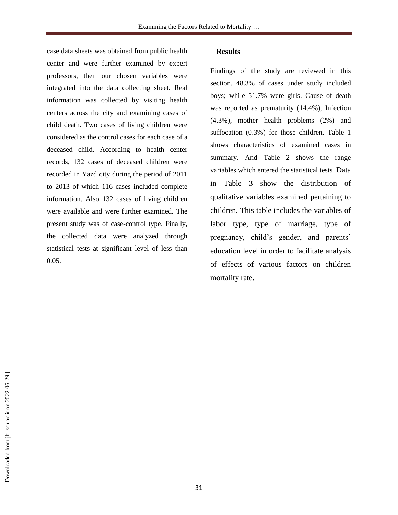case data sheets was obtained from public health center and were further examined by expert professors, then our chosen variables were integrated into the data collecting sheet. Real information was collected by visiting health centers across the city and examining cases of child death. Two cases of living children were considered as the control cases for each case of a deceased child. According to health center records, 132 cases of deceased children were recorded in Yazd city during the period of 2011 to 2013 of which 116 cases included complete information. Also 132 cases of living children were available and were further examined. The present study was of case-control type. Finally, the collected data were analyzed through statistical tests at significant level of less than 0.05.

# **Results**

Findings of the study are reviewed in this section. 48.3% of cases under study included boys; while 51.7% were girls. Cause of death was reported as prematurity (14.4%), Infection (4.3%), mother health problems (2%) and suffocation (0.3%) for those children. Table 1 shows characteristics of examined cases in summary. And Table 2 shows the range variables which entered the statistical tests. Data in Table 3 show the distribution of qualitative variables examined pertaining to children. This table includes the variables of labor type, type of marriage, type of pregnancy, child's gender, and parents' education level in order to facilitate analysis of effects of various factors on children mortality rate.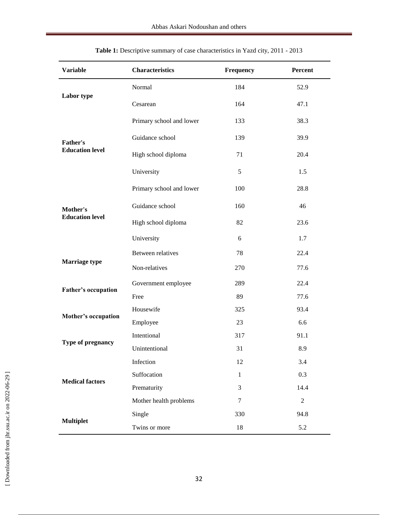| <b>Variable</b>                           | <b>Characteristics</b>   | Frequency    | Percent        |
|-------------------------------------------|--------------------------|--------------|----------------|
| Labor type                                | Normal                   | 184          | 52.9           |
|                                           | Cesarean                 | 164          | 47.1           |
| <b>Father's</b><br><b>Education level</b> | Primary school and lower | 133          | 38.3           |
|                                           | Guidance school          | 139          | 39.9           |
|                                           | High school diploma      | 71           | 20.4           |
|                                           | University               | 5            | 1.5            |
|                                           | Primary school and lower | 100          | 28.8           |
| Mother's                                  | Guidance school          | 160          | 46             |
| <b>Education level</b>                    | High school diploma      | 82           | 23.6           |
|                                           | University               | 6            | 1.7            |
| <b>Marriage type</b>                      | <b>Between relatives</b> | 78           | 22.4           |
|                                           | Non-relatives            | 270          | 77.6           |
| Father's occupation                       | Government employee      | 289          | 22.4           |
|                                           | Free                     | 89           | 77.6           |
| Mother's occupation                       | Housewife                | 325          | 93.4           |
|                                           | Employee                 | 23           | 6.6            |
| Type of pregnancy                         | Intentional              | 317          | 91.1           |
|                                           | Unintentional            | 31           | 8.9            |
| <b>Medical factors</b>                    | Infection                | 12           | 3.4            |
|                                           | Suffocation              | $\mathbf{1}$ | 0.3            |
|                                           | Prematurity              | 3            | 14.4           |
|                                           | Mother health problems   | $\tau$       | $\overline{2}$ |
|                                           | Single                   | 330          | 94.8           |
| <b>Multiplet</b>                          | Twins or more            | $18\,$       | 5.2            |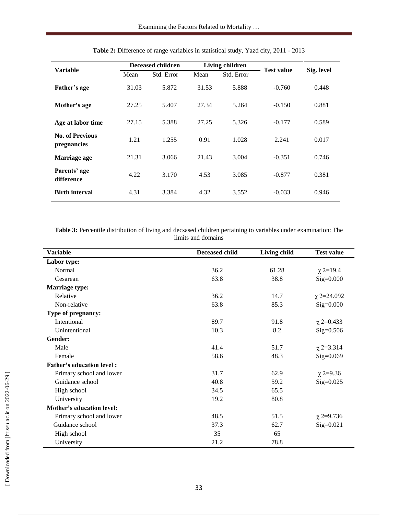| <b>Variable</b>                       | <b>Deceased children</b> |            | Living children |            | <b>Test value</b> | Sig. level |
|---------------------------------------|--------------------------|------------|-----------------|------------|-------------------|------------|
|                                       | Mean                     | Std. Error | Mean            | Std. Error |                   |            |
| Father's age                          | 31.03                    | 5.872      | 31.53           | 5.888      | $-0.760$          | 0.448      |
| Mother's age                          | 27.25                    | 5.407      | 27.34           | 5.264      | $-0.150$          | 0.881      |
| Age at labor time                     | 27.15                    | 5.388      | 27.25           | 5.326      | $-0.177$          | 0.589      |
| <b>No. of Previous</b><br>pregnancies | 1.21                     | 1.255      | 0.91            | 1.028      | 2.241             | 0.017      |
| Marriage age                          | 21.31                    | 3.066      | 21.43           | 3.004      | $-0.351$          | 0.746      |
| Parents' age<br>difference            | 4.22                     | 3.170      | 4.53            | 3.085      | $-0.877$          | 0.381      |
| <b>Birth interval</b>                 | 4.31                     | 3.384      | 4.32            | 3.552      | $-0.033$          | 0.946      |

|  | Table 2: Difference of range variables in statistical study, Yazd city, 2011 - 2013 |  |  |  |  |  |  |
|--|-------------------------------------------------------------------------------------|--|--|--|--|--|--|
|--|-------------------------------------------------------------------------------------|--|--|--|--|--|--|

**Table 3:** Percentile distribution of living and decsased children pertaining to variables under examination: The limits and domains

| <b>Variable</b>                  | <b>Deceased child</b> | Living child | <b>Test value</b> |
|----------------------------------|-----------------------|--------------|-------------------|
| Labor type:                      |                       |              |                   |
| Normal                           | 36.2                  | 61.28        | $\chi$ 2=19.4     |
| Cesarean                         | 63.8                  | 38.8         | $Sig=0.000$       |
| <b>Marriage type:</b>            |                       |              |                   |
| Relative                         | 36.2                  | 14.7         | $\chi$ 2=24.092   |
| Non-relative                     | 63.8                  | 85.3         | $Sig=0.000$       |
| Type of pregnancy:               |                       |              |                   |
| Intentional                      | 89.7                  | 91.8         | $\chi$ 2=0.433    |
| Unintentional                    | 10.3                  | 8.2          | $Sig=0.506$       |
| Gender:                          |                       |              |                   |
| Male                             | 41.4                  | 51.7         | $\chi$ 2=3.314    |
| Female                           | 58.6                  | 48.3         | $Sig=0.069$       |
| <b>Father's education level:</b> |                       |              |                   |
| Primary school and lower         | 31.7                  | 62.9         | $\chi$ 2=9.36     |
| Guidance school                  | 40.8                  | 59.2         | $Sig=0.025$       |
| High school                      | 34.5                  | 65.5         |                   |
| University                       | 19.2                  | 80.8         |                   |
| Mother's education level:        |                       |              |                   |
| Primary school and lower         | 48.5                  | 51.5         | $\chi$ 2=9.736    |
| Guidance school                  | 37.3                  | 62.7         | $Sig=0.021$       |
| High school                      | 35                    | 65           |                   |
| University                       | 21.2                  | 78.8         |                   |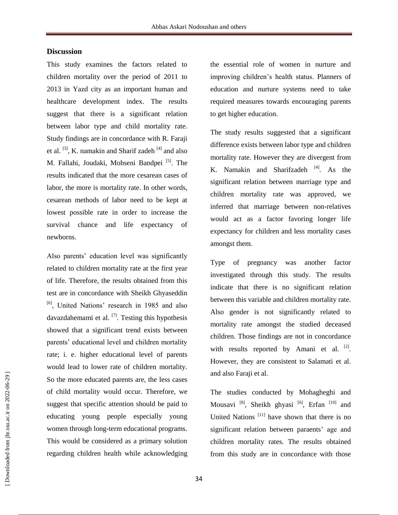# **Discussion**

This study examines the factors related to children mortality over the period of 2011 to 2013 in Yazd city as an important human and healthcare development index. The results suggest that there is a significant relation between labor type and child mortality rate. Study findings are in concordance with R. Faraji et al.  $[3]$ , K. namakin and Sharif zadeh  $[4]$  and also M. Fallahi, Joudaki, Mohseni Bandpei<sup>[5]</sup>. The results indicated that the more cesarean cases of labor, the more is mortality rate. In other words, cesarean methods of labor need to be kept at lowest possible rate in order to increase the survival chance and life expectancy of newborns.

Also parents' education level was significantly related to children mortality rate at the first year of life. Therefore, the results obtained from this test are in concordance with Sheikh Ghyaseddin <sup>[6]</sup>, United Nations' research in 1985 and also davazdahemami et al.  $^{[7]}$ . Testing this hypothesis showed that a significant trend exists between parents' educational level and children mortality rate; i. e. higher educational level of parents would lead to lower rate of children mortality. So the more educated parents are, the less cases of child mortality would occur. Therefore, we suggest that specific attention should be paid to educating young people especially young women through long-term educational programs. This would be considered as a primary solution regarding children health while acknowledging

the essential role of women in nurture and improving children's health status. Planners of education and nurture systems need to take required measures towards encouraging parents to get higher education.

The study results suggested that a significant difference exists between labor type and children mortality rate. However they are divergent from K. Namakin and Sharifzadeh <sup>[4]</sup>. As the significant relation between marriage type and children mortality rate was approved, we inferred that marriage between non-relatives would act as a factor favoring longer life expectancy for children and less mortality cases amongst them.

Type of pregnancy was another factor investigated through this study. The results indicate that there is no significant relation between this variable and children mortality rate. Also gender is not significantly related to mortality rate amongst the studied deceased children. Those findings are not in concordance with results reported by Amani et al.  $[2]$ . However, they are consistent to Salamati et al. and also Faraji et al.

The studies conducted by Mohagheghi and Mousavi<sup>[8]</sup>, Sheikh ghyasi<sup>[6]</sup>, Erfan<sup>[10]</sup> and United Nations<sup>[11]</sup> have shown that there is no significant relation between paraents' age and children mortality rates. The results obtained from this study are in concordance with those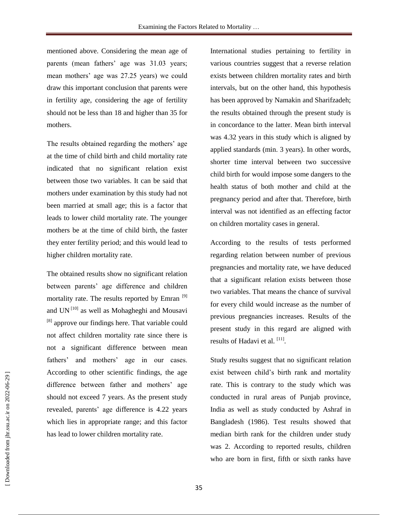mentioned above. Considering the mean age of parents (mean fathers' age was 31.03 years; mean mothers' age was 27.25 years) we could draw this important conclusion that parents were in fertility age, considering the age of fertility should not be less than 18 and higher than 35 for mothers.

The results obtained regarding the mothers' age at the time of child birth and child mortality rate indicated that no significant relation exist between those two variables. It can be said that mothers under examination by this study had not been married at small age; this is a factor that leads to lower child mortality rate. The younger mothers be at the time of child birth, the faster they enter fertility period; and this would lead to higher children mortality rate.

The obtained results show no significant relation between parents' age difference and children mortality rate. The results reported by Emran [9] and UN<sup>[10]</sup> as well as Mohagheghi and Mousavi <sup>[8]</sup> approve our findings here. That variable could not affect children mortality rate since there is not a significant difference between mean fathers' and mothers' age in our cases. According to other scientific findings, the age difference between father and mothers' age should not exceed 7 years. As the present study revealed, parents' age difference is 4.22 years which lies in appropriate range; and this factor has lead to lower children mortality rate.

International studies pertaining to fertility in various countries suggest that a reverse relation exists between children mortality rates and birth intervals, but on the other hand, this hypothesis has been approved by Namakin and Sharifzadeh; the results obtained through the present study is in concordance to the latter. Mean birth interval was 4.32 years in this study which is aligned by applied standards (min. 3 years). In other words, shorter time interval between two successive child birth for would impose some dangers to the health status of both mother and child at the pregnancy period and after that. Therefore, birth interval was not identified as an effecting factor on children mortality cases in general.

According to the results of tests performed regarding relation between number of previous pregnancies and mortality rate, we have deduced that a significant relation exists between those two variables. That means the chance of survival for every child would increase as the number of previous pregnancies increases. Results of the present study in this regard are aligned with results of Hadavi et al. [11].

Study results suggest that no significant relation exist between child's birth rank and mortality rate. This is contrary to the study which was conducted in rural areas of Punjab province, India as well as study conducted by Ashraf in Bangladesh (1986). Test results showed that median birth rank for the children under study was 2. According to reported results, children who are born in first, fifth or sixth ranks have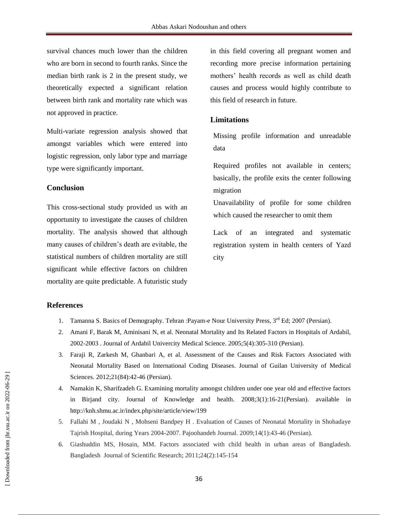survival chances much lower than the children who are born in second to fourth ranks. Since the median birth rank is 2 in the present study, we theoretically expected a significant relation between birth rank and mortality rate which was not approved in practice.

Multi-variate regression analysis showed that amongst variables which were entered into logistic regression, only labor type and marriage type were significantly important.

# **Conclusion**

This cross-sectional study provided us with an opportunity to investigate the causes of children mortality. The analysis showed that although many causes of children's death are evitable, the statistical numbers of children mortality are still significant while effective factors on children mortality are quite predictable. A futuristic study

in this field covering all pregnant women and recording more precise information pertaining mothers' health records as well as child death causes and process would highly contribute to this field of research in future.

# **Limitations**

Missing profile information and unreadable data

Required profiles not available in centers; basically, the profile exits the center following migration

Unavailability of profile for some children which caused the researcher to omit them

Lack of an integrated and systematic registration system in health centers of Yazd city

### **References**

- 1. Tamanna S. Basics of Demography. Tehran : Payam-e Nour University Press, 3<sup>rd</sup> Ed; 2007 (Persian).
- 2. Amani F, Barak M, Aminisani N, et al. Neonatal Mortality and Its Related Factors in Hospitals of Ardabil, 2002-2003 . Journal of Ardabil Univercity Medical Science. 2005;5(4):305-310 (Persian).
- 3. Faraji R, Zarkesh M, Ghanbari A, et al. Assessment of the Causes and Risk Factors Associated with Neonatal Mortality Based on International Coding Diseases. Journal of Guilan University of Medical Sciences. 2012;21(84):42-46 (Persian).
- 4. Namakin K, Sharifzadeh G. Examining mortality amongst children under one year old and effective factors in Birjand city. Journal of Knowledge and health. 2008;3(1):16-21(Persian). available in http://knh.shmu.ac.ir/index.php/site/article/view/199
- 5. Fallahi M , Joudaki N , Mohseni Bandpey H . Evaluation of Causes of Neonatal Mortality in Shohadaye Tajrish Hospital, during Years 2004-2007. Pajoohandeh Journal. 2009;14(1):43-46 (Persian).
- 6. Giashuddin MS, Hosain, MM. Factors associated with child health in urban areas of Bangladesh. Bangladesh Journal of Scientific Research; 2011;24(2):145-154